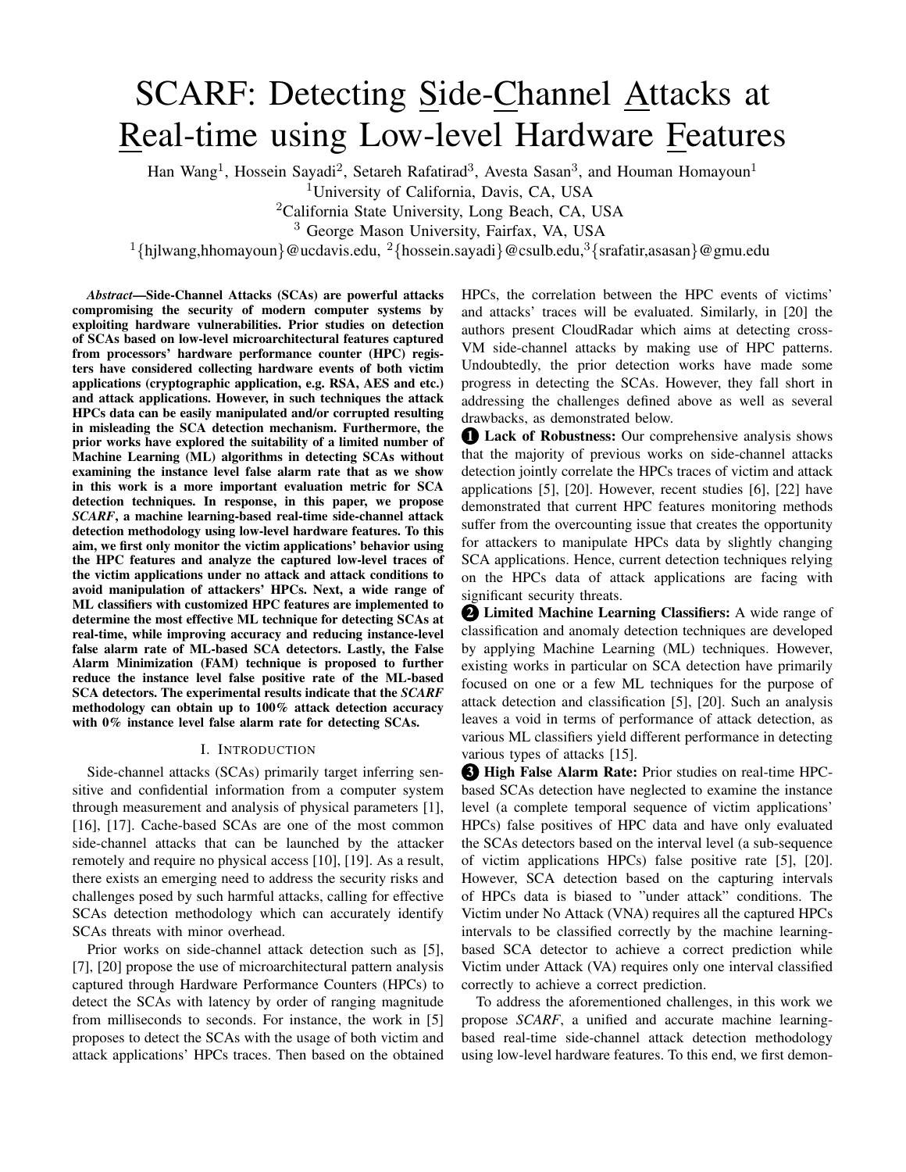# SCARF: Detecting Side-Channel Attacks at Real-time using Low-level Hardware Features

Han Wang<sup>1</sup>, Hossein Sayadi<sup>2</sup>, Setareh Rafatirad<sup>3</sup>, Avesta Sasan<sup>3</sup>, and Houman Homayoun<sup>1</sup> <sup>1</sup>University of California, Davis, CA, USA

<sup>2</sup>California State University, Long Beach, CA, USA

<sup>3</sup> George Mason University, Fairfax, VA, USA

<sup>1</sup>{hjlwang,hhomayoun}@ucdavis.edu, <sup>2</sup>{hossein.sayadi}@csulb.edu,<sup>3</sup>{srafatir,asasan}@gmu.edu

*Abstract*—Side-Channel Attacks (SCAs) are powerful attacks compromising the security of modern computer systems by exploiting hardware vulnerabilities. Prior studies on detection of SCAs based on low-level microarchitectural features captured from processors' hardware performance counter (HPC) registers have considered collecting hardware events of both victim applications (cryptographic application, e.g. RSA, AES and etc.) and attack applications. However, in such techniques the attack HPCs data can be easily manipulated and/or corrupted resulting in misleading the SCA detection mechanism. Furthermore, the prior works have explored the suitability of a limited number of Machine Learning (ML) algorithms in detecting SCAs without examining the instance level false alarm rate that as we show in this work is a more important evaluation metric for SCA detection techniques. In response, in this paper, we propose *SCARF*, a machine learning-based real-time side-channel attack detection methodology using low-level hardware features. To this aim, we first only monitor the victim applications' behavior using the HPC features and analyze the captured low-level traces of the victim applications under no attack and attack conditions to avoid manipulation of attackers' HPCs. Next, a wide range of ML classifiers with customized HPC features are implemented to determine the most effective ML technique for detecting SCAs at real-time, while improving accuracy and reducing instance-level false alarm rate of ML-based SCA detectors. Lastly, the False Alarm Minimization (FAM) technique is proposed to further reduce the instance level false positive rate of the ML-based SCA detectors. The experimental results indicate that the *SCARF* methodology can obtain up to 100% attack detection accuracy with 0% instance level false alarm rate for detecting SCAs.

#### I. INTRODUCTION

Side-channel attacks (SCAs) primarily target inferring sensitive and confidential information from a computer system through measurement and analysis of physical parameters [1], [16], [17]. Cache-based SCAs are one of the most common side-channel attacks that can be launched by the attacker remotely and require no physical access [10], [19]. As a result, there exists an emerging need to address the security risks and challenges posed by such harmful attacks, calling for effective SCAs detection methodology which can accurately identify SCAs threats with minor overhead.

Prior works on side-channel attack detection such as [5], [7], [20] propose the use of microarchitectural pattern analysis captured through Hardware Performance Counters (HPCs) to detect the SCAs with latency by order of ranging magnitude from milliseconds to seconds. For instance, the work in [5] proposes to detect the SCAs with the usage of both victim and attack applications' HPCs traces. Then based on the obtained HPCs, the correlation between the HPC events of victims' and attacks' traces will be evaluated. Similarly, in [20] the authors present CloudRadar which aims at detecting cross-VM side-channel attacks by making use of HPC patterns. Undoubtedly, the prior detection works have made some progress in detecting the SCAs. However, they fall short in addressing the challenges defined above as well as several drawbacks, as demonstrated below.

**1 Lack of Robustness:** Our comprehensive analysis shows that the majority of previous works on side-channel attacks detection jointly correlate the HPCs traces of victim and attack applications [5], [20]. However, recent studies [6], [22] have demonstrated that current HPC features monitoring methods suffer from the overcounting issue that creates the opportunity for attackers to manipulate HPCs data by slightly changing SCA applications. Hence, current detection techniques relying on the HPCs data of attack applications are facing with significant security threats.

**2** Limited Machine Learning Classifiers: A wide range of classification and anomaly detection techniques are developed by applying Machine Learning (ML) techniques. However, existing works in particular on SCA detection have primarily focused on one or a few ML techniques for the purpose of attack detection and classification [5], [20]. Such an analysis leaves a void in terms of performance of attack detection, as various ML classifiers yield different performance in detecting various types of attacks [15].

3 High False Alarm Rate: Prior studies on real-time HPCbased SCAs detection have neglected to examine the instance level (a complete temporal sequence of victim applications' HPCs) false positives of HPC data and have only evaluated the SCAs detectors based on the interval level (a sub-sequence of victim applications HPCs) false positive rate [5], [20]. However, SCA detection based on the capturing intervals of HPCs data is biased to "under attack" conditions. The Victim under No Attack (VNA) requires all the captured HPCs intervals to be classified correctly by the machine learningbased SCA detector to achieve a correct prediction while Victim under Attack (VA) requires only one interval classified correctly to achieve a correct prediction.

To address the aforementioned challenges, in this work we propose *SCARF*, a unified and accurate machine learningbased real-time side-channel attack detection methodology using low-level hardware features. To this end, we first demon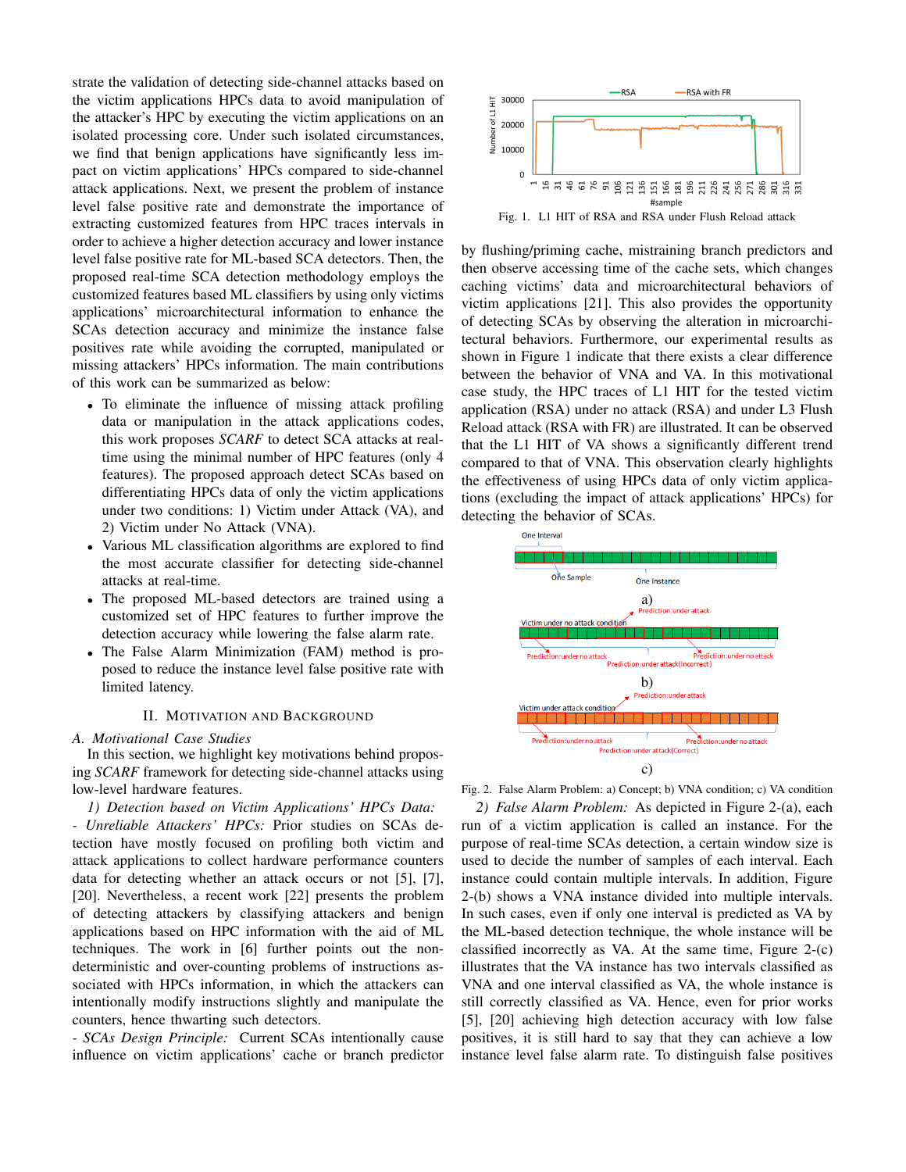strate the validation of detecting side-channel attacks based on the victim applications HPCs data to avoid manipulation of the attacker's HPC by executing the victim applications on an isolated processing core. Under such isolated circumstances, we find that benign applications have significantly less impact on victim applications' HPCs compared to side-channel attack applications. Next, we present the problem of instance level false positive rate and demonstrate the importance of extracting customized features from HPC traces intervals in order to achieve a higher detection accuracy and lower instance level false positive rate for ML-based SCA detectors. Then, the proposed real-time SCA detection methodology employs the customized features based ML classifiers by using only victims applications' microarchitectural information to enhance the SCAs detection accuracy and minimize the instance false positives rate while avoiding the corrupted, manipulated or missing attackers' HPCs information. The main contributions of this work can be summarized as below:

- To eliminate the influence of missing attack profiling data or manipulation in the attack applications codes, this work proposes *SCARF* to detect SCA attacks at realtime using the minimal number of HPC features (only 4 features). The proposed approach detect SCAs based on differentiating HPCs data of only the victim applications under two conditions: 1) Victim under Attack (VA), and 2) Victim under No Attack (VNA).
- Various ML classification algorithms are explored to find the most accurate classifier for detecting side-channel attacks at real-time.
- The proposed ML-based detectors are trained using a customized set of HPC features to further improve the detection accuracy while lowering the false alarm rate.
- The False Alarm Minimization (FAM) method is proposed to reduce the instance level false positive rate with limited latency.

#### II. MOTIVATION AND BACKGROUND

## *A. Motivational Case Studies*

In this section, we highlight key motivations behind proposing *SCARF* framework for detecting side-channel attacks using low-level hardware features.

*1) Detection based on Victim Applications' HPCs Data: - Unreliable Attackers' HPCs:* Prior studies on SCAs detection have mostly focused on profiling both victim and attack applications to collect hardware performance counters data for detecting whether an attack occurs or not [5], [7], [20]. Nevertheless, a recent work [22] presents the problem of detecting attackers by classifying attackers and benign applications based on HPC information with the aid of ML techniques. The work in [6] further points out the nondeterministic and over-counting problems of instructions associated with HPCs information, in which the attackers can intentionally modify instructions slightly and manipulate the counters, hence thwarting such detectors.

*- SCAs Design Principle:* Current SCAs intentionally cause influence on victim applications' cache or branch predictor



by flushing/priming cache, mistraining branch predictors and then observe accessing time of the cache sets, which changes caching victims' data and microarchitectural behaviors of victim applications [21]. This also provides the opportunity of detecting SCAs by observing the alteration in microarchitectural behaviors. Furthermore, our experimental results as shown in Figure 1 indicate that there exists a clear difference between the behavior of VNA and VA. In this motivational case study, the HPC traces of L1 HIT for the tested victim application (RSA) under no attack (RSA) and under L3 Flush Reload attack (RSA with FR) are illustrated. It can be observed that the L1 HIT of VA shows a significantly different trend compared to that of VNA. This observation clearly highlights the effectiveness of using HPCs data of only victim applications (excluding the impact of attack applications' HPCs) for detecting the behavior of SCAs.



Fig. 2. False Alarm Problem: a) Concept; b) VNA condition; c) VA condition

*2) False Alarm Problem:* As depicted in Figure 2-(a), each run of a victim application is called an instance. For the purpose of real-time SCAs detection, a certain window size is used to decide the number of samples of each interval. Each instance could contain multiple intervals. In addition, Figure 2-(b) shows a VNA instance divided into multiple intervals. In such cases, even if only one interval is predicted as VA by the ML-based detection technique, the whole instance will be classified incorrectly as VA. At the same time, Figure 2-(c) illustrates that the VA instance has two intervals classified as VNA and one interval classified as VA, the whole instance is still correctly classified as VA. Hence, even for prior works [5], [20] achieving high detection accuracy with low false positives, it is still hard to say that they can achieve a low instance level false alarm rate. To distinguish false positives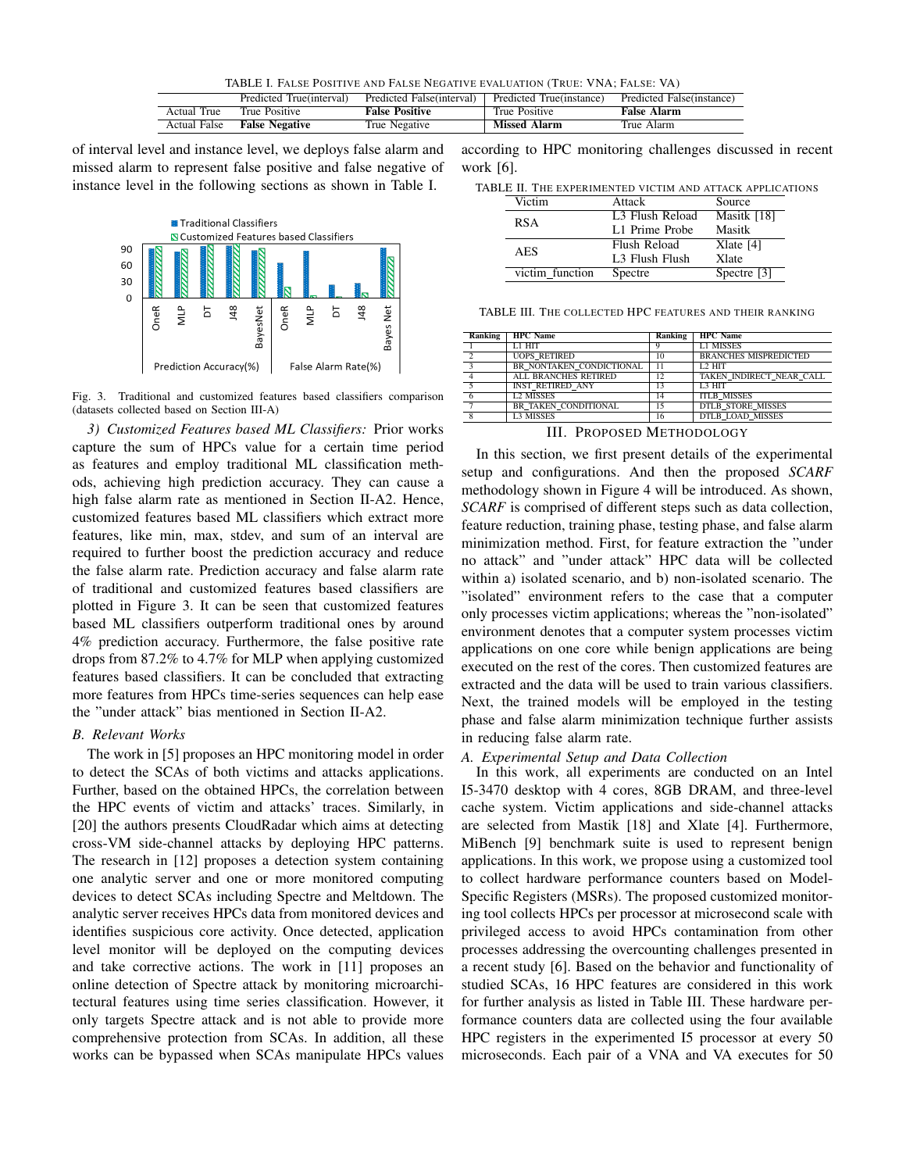TABLE I. FALSE POSITIVE AND FALSE NEGATIVE EVALUATION (TRUE: VNA; FALSE: VA)

|              | Predicted True(interval) | Predicted False(interval) | Predicted True(instance) | Predicted False(instance) |
|--------------|--------------------------|---------------------------|--------------------------|---------------------------|
| Actual True  | True Positive            | <b>False Positive</b>     | True Positive            | <b>False Alarm</b>        |
| Actual False | <b>False Negative</b>    | True Negative             | <b>Missed Alarm</b>      | True Alarm                |

of interval level and instance level, we deploys false alarm and missed alarm to represent false positive and false negative of instance level in the following sections as shown in Table I.



Fig. 3. Traditional and customized features based classifiers comparison (datasets collected based on Section III-A)

*3) Customized Features based ML Classifiers:* Prior works capture the sum of HPCs value for a certain time period as features and employ traditional ML classification methods, achieving high prediction accuracy. They can cause a high false alarm rate as mentioned in Section II-A2. Hence, customized features based ML classifiers which extract more features, like min, max, stdev, and sum of an interval are required to further boost the prediction accuracy and reduce the false alarm rate. Prediction accuracy and false alarm rate of traditional and customized features based classifiers are plotted in Figure 3. It can be seen that customized features based ML classifiers outperform traditional ones by around 4% prediction accuracy. Furthermore, the false positive rate drops from 87.2% to 4.7% for MLP when applying customized features based classifiers. It can be concluded that extracting more features from HPCs time-series sequences can help ease the "under attack" bias mentioned in Section II-A2.

# *B. Relevant Works*

The work in [5] proposes an HPC monitoring model in order to detect the SCAs of both victims and attacks applications. Further, based on the obtained HPCs, the correlation between the HPC events of victim and attacks' traces. Similarly, in [20] the authors presents CloudRadar which aims at detecting cross-VM side-channel attacks by deploying HPC patterns. The research in [12] proposes a detection system containing one analytic server and one or more monitored computing devices to detect SCAs including Spectre and Meltdown. The analytic server receives HPCs data from monitored devices and identifies suspicious core activity. Once detected, application level monitor will be deployed on the computing devices and take corrective actions. The work in [11] proposes an online detection of Spectre attack by monitoring microarchitectural features using time series classification. However, it only targets Spectre attack and is not able to provide more comprehensive protection from SCAs. In addition, all these works can be bypassed when SCAs manipulate HPCs values according to HPC monitoring challenges discussed in recent work [6].

|                          |        |                            | TABLE II. THE EXPERIMENTED VICTIM AND ATTACK APPLICATIONS |
|--------------------------|--------|----------------------------|-----------------------------------------------------------|
|                          | Victim | Attack                     | Source                                                    |
| <b>RSA</b><br><b>AES</b> |        | L3 Flush Reload            | Masitk [18]                                               |
|                          |        | L1 Prime Probe             | <b>Masitk</b>                                             |
|                          |        | Flush Reload               | $X$ late $[4]$                                            |
|                          |        | L <sub>3</sub> Flush Flush | Xlate                                                     |
| victim function          |        | Spectre                    | Spectre [3]                                               |

TABLE III. THE COLLECTED HPC FEATURES AND THEIR RANKING

| Ranking        | <b>HPC</b> Name          | Ranking | <b>HPC</b> Name              |
|----------------|--------------------------|---------|------------------------------|
|                | L1 HIT                   |         | L1 MISSES                    |
| $\overline{2}$ | <b>UOPS RETIRED</b>      | 10      | <b>BRANCHES MISPREDICTED</b> |
| 3              | BR NONTAKEN CONDICTIONAL | 11      | $1.2$ HIT                    |
| $\overline{4}$ | ALL BRANCHES RETIRED     | 12      | TAKEN INDIRECT NEAR CALL     |
| 5              | <b>INST RETIRED ANY</b>  | 13      | L <sub>3</sub> HIT           |
| 6              | <b>L2 MISSES</b>         | 14      | <b>ITLB MISSES</b>           |
|                | BR TAKEN CONDITIONAL     | 15      | <b>DTLB STORE MISSES</b>     |
| 8              | L3 MISSES                | 16      | DTLB LOAD MISSES             |

#### III. PROPOSED METHODOLOGY

In this section, we first present details of the experimental setup and configurations. And then the proposed *SCARF* methodology shown in Figure 4 will be introduced. As shown, *SCARF* is comprised of different steps such as data collection, feature reduction, training phase, testing phase, and false alarm minimization method. First, for feature extraction the "under no attack" and "under attack" HPC data will be collected within a) isolated scenario, and b) non-isolated scenario. The "isolated" environment refers to the case that a computer only processes victim applications; whereas the "non-isolated" environment denotes that a computer system processes victim applications on one core while benign applications are being executed on the rest of the cores. Then customized features are extracted and the data will be used to train various classifiers. Next, the trained models will be employed in the testing phase and false alarm minimization technique further assists in reducing false alarm rate.

## *A. Experimental Setup and Data Collection*

In this work, all experiments are conducted on an Intel I5-3470 desktop with 4 cores, 8GB DRAM, and three-level cache system. Victim applications and side-channel attacks are selected from Mastik [18] and Xlate [4]. Furthermore, MiBench [9] benchmark suite is used to represent benign applications. In this work, we propose using a customized tool to collect hardware performance counters based on Model-Specific Registers (MSRs). The proposed customized monitoring tool collects HPCs per processor at microsecond scale with privileged access to avoid HPCs contamination from other processes addressing the overcounting challenges presented in a recent study [6]. Based on the behavior and functionality of studied SCAs, 16 HPC features are considered in this work for further analysis as listed in Table III. These hardware performance counters data are collected using the four available HPC registers in the experimented I5 processor at every 50 microseconds. Each pair of a VNA and VA executes for 50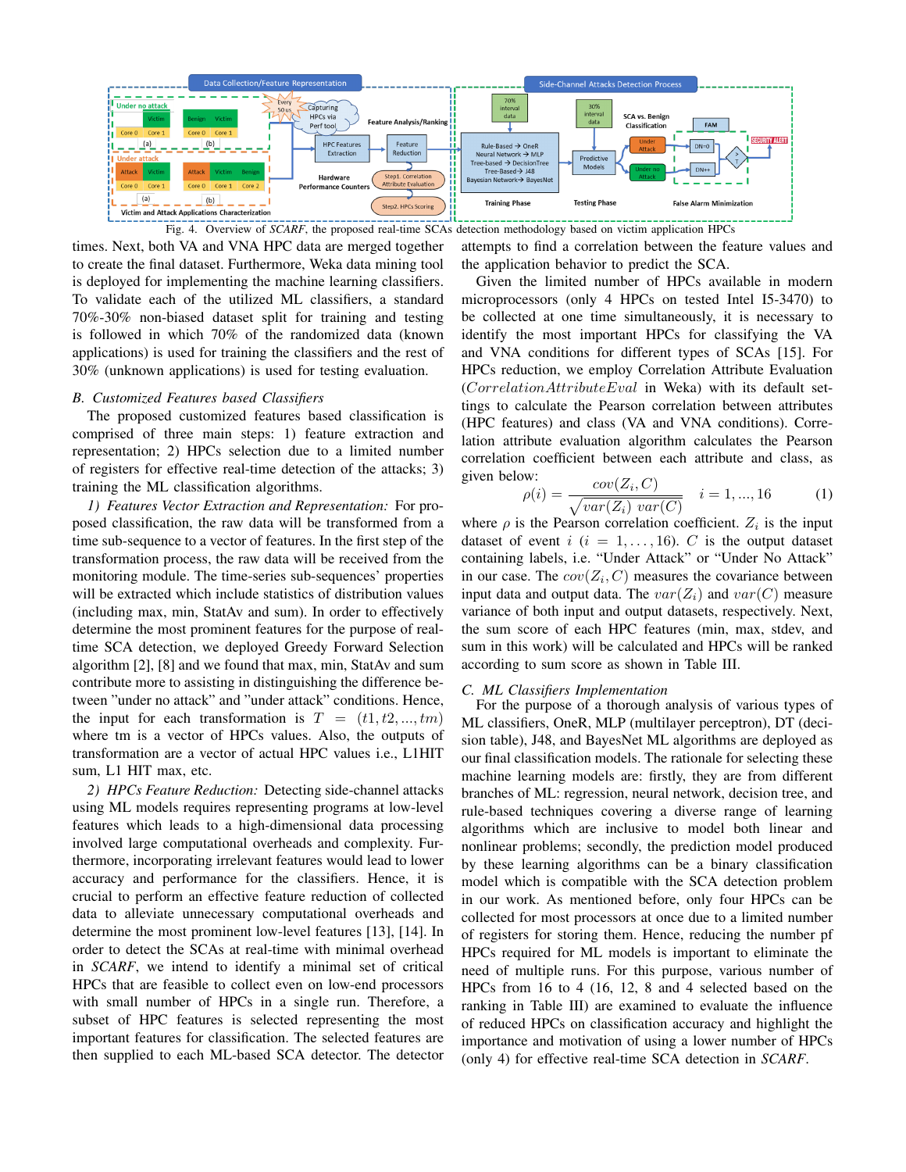

Fig. 4. Overview of *SCARF*, the proposed real-time SCAs detection methodology based on victim application HPCs

times. Next, both VA and VNA HPC data are merged together to create the final dataset. Furthermore, Weka data mining tool is deployed for implementing the machine learning classifiers. To validate each of the utilized ML classifiers, a standard 70%-30% non-biased dataset split for training and testing is followed in which 70% of the randomized data (known applications) is used for training the classifiers and the rest of 30% (unknown applications) is used for testing evaluation.

## *B. Customized Features based Classifiers*

The proposed customized features based classification is comprised of three main steps: 1) feature extraction and representation; 2) HPCs selection due to a limited number of registers for effective real-time detection of the attacks; 3) training the ML classification algorithms.

*1) Features Vector Extraction and Representation:* For proposed classification, the raw data will be transformed from a time sub-sequence to a vector of features. In the first step of the transformation process, the raw data will be received from the monitoring module. The time-series sub-sequences' properties will be extracted which include statistics of distribution values (including max, min, StatAv and sum). In order to effectively determine the most prominent features for the purpose of realtime SCA detection, we deployed Greedy Forward Selection algorithm [2], [8] and we found that max, min, StatAv and sum contribute more to assisting in distinguishing the difference between "under no attack" and "under attack" conditions. Hence, the input for each transformation is  $T = (t1, t2, ..., tm)$ where tm is a vector of HPCs values. Also, the outputs of transformation are a vector of actual HPC values i.e., L1HIT sum, L1 HIT max, etc.

*2) HPCs Feature Reduction:* Detecting side-channel attacks using ML models requires representing programs at low-level features which leads to a high-dimensional data processing involved large computational overheads and complexity. Furthermore, incorporating irrelevant features would lead to lower accuracy and performance for the classifiers. Hence, it is crucial to perform an effective feature reduction of collected data to alleviate unnecessary computational overheads and determine the most prominent low-level features [13], [14]. In order to detect the SCAs at real-time with minimal overhead in *SCARF*, we intend to identify a minimal set of critical HPCs that are feasible to collect even on low-end processors with small number of HPCs in a single run. Therefore, a subset of HPC features is selected representing the most important features for classification. The selected features are then supplied to each ML-based SCA detector. The detector attempts to find a correlation between the feature values and the application behavior to predict the SCA.

Given the limited number of HPCs available in modern microprocessors (only 4 HPCs on tested Intel I5-3470) to be collected at one time simultaneously, it is necessary to identify the most important HPCs for classifying the VA and VNA conditions for different types of SCAs [15]. For HPCs reduction, we employ Correlation Attribute Evaluation  $(CorrelationAttributeEval$  in Weka) with its default settings to calculate the Pearson correlation between attributes (HPC features) and class (VA and VNA conditions). Correlation attribute evaluation algorithm calculates the Pearson correlation coefficient between each attribute and class, as given below:

$$
\rho(i) = \frac{cov(Z_i, C)}{\sqrt{var(Z_i) var(C)}} \quad i = 1, ..., 16 \tag{1}
$$

where  $\rho$  is the Pearson correlation coefficient.  $Z_i$  is the input dataset of event  $i$  ( $i = 1, \ldots, 16$ ). C is the output dataset containing labels, i.e. "Under Attack" or "Under No Attack" in our case. The  $cov(Z_i, C)$  measures the covariance between input data and output data. The  $var(Z_i)$  and  $var(C)$  measure variance of both input and output datasets, respectively. Next, the sum score of each HPC features (min, max, stdev, and sum in this work) will be calculated and HPCs will be ranked according to sum score as shown in Table III.

# *C. ML Classifiers Implementation*

For the purpose of a thorough analysis of various types of ML classifiers, OneR, MLP (multilayer perceptron), DT (decision table), J48, and BayesNet ML algorithms are deployed as our final classification models. The rationale for selecting these machine learning models are: firstly, they are from different branches of ML: regression, neural network, decision tree, and rule-based techniques covering a diverse range of learning algorithms which are inclusive to model both linear and nonlinear problems; secondly, the prediction model produced by these learning algorithms can be a binary classification model which is compatible with the SCA detection problem in our work. As mentioned before, only four HPCs can be collected for most processors at once due to a limited number of registers for storing them. Hence, reducing the number pf HPCs required for ML models is important to eliminate the need of multiple runs. For this purpose, various number of HPCs from 16 to 4 (16, 12, 8 and 4 selected based on the ranking in Table III) are examined to evaluate the influence of reduced HPCs on classification accuracy and highlight the importance and motivation of using a lower number of HPCs (only 4) for effective real-time SCA detection in *SCARF*.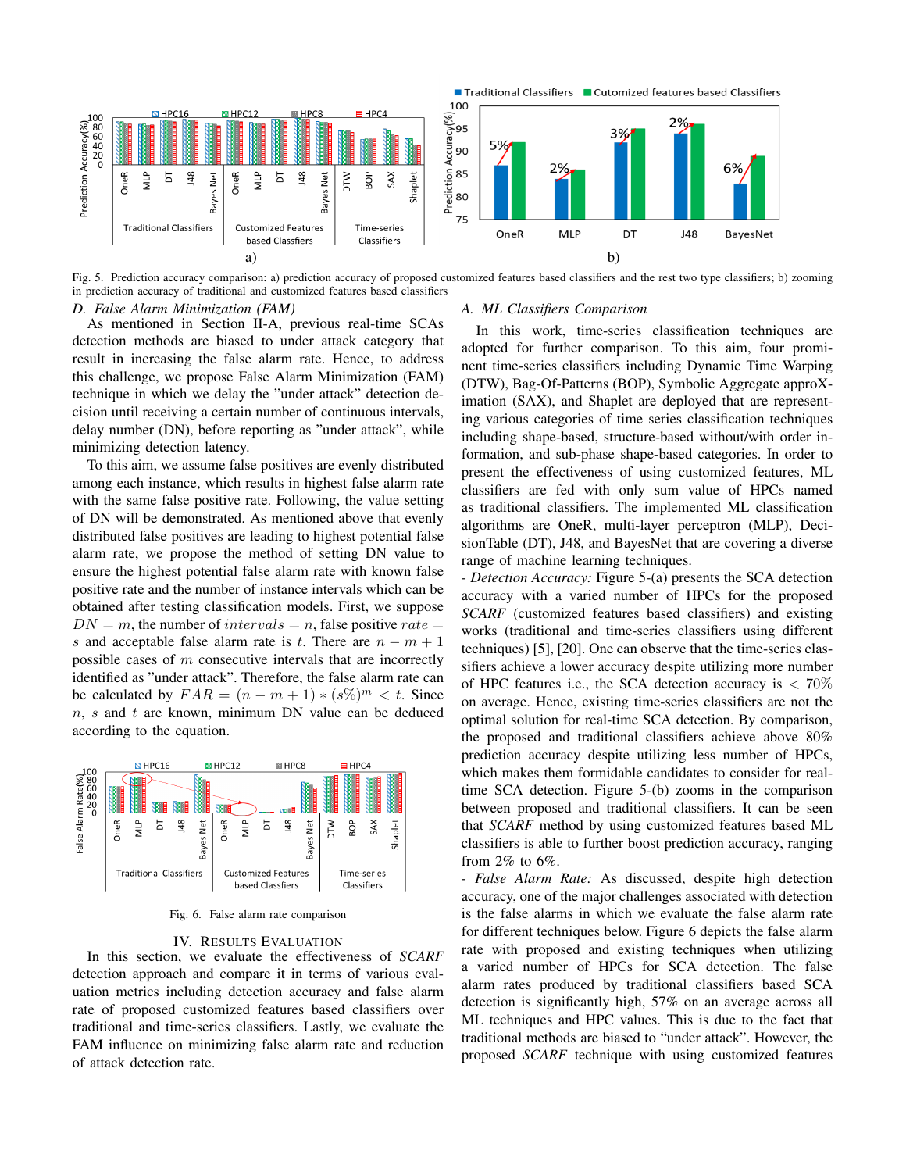

Fig. 5. Prediction accuracy comparison: a) prediction accuracy of proposed customized features based classifiers and the rest two type classifiers; b) zooming in prediction accuracy of traditional and customized features based classifiers

# *D. False Alarm Minimization (FAM)*

As mentioned in Section II-A, previous real-time SCAs detection methods are biased to under attack category that result in increasing the false alarm rate. Hence, to address this challenge, we propose False Alarm Minimization (FAM) technique in which we delay the "under attack" detection decision until receiving a certain number of continuous intervals, delay number (DN), before reporting as "under attack", while minimizing detection latency.

To this aim, we assume false positives are evenly distributed among each instance, which results in highest false alarm rate with the same false positive rate. Following, the value setting of DN will be demonstrated. As mentioned above that evenly distributed false positives are leading to highest potential false alarm rate, we propose the method of setting DN value to ensure the highest potential false alarm rate with known false positive rate and the number of instance intervals which can be obtained after testing classification models. First, we suppose  $DN = m$ , the number of intervals  $= n$ , false positive rate  $=$ s and acceptable false alarm rate is t. There are  $n - m + 1$ possible cases of m consecutive intervals that are incorrectly identified as "under attack". Therefore, the false alarm rate can be calculated by  $FAR = (n - m + 1) * (s\%)^m < t$ . Since  $n$ ,  $s$  and  $t$  are known, minimum DN value can be deduced according to the equation.



Fig. 6. False alarm rate comparison

# IV. RESULTS EVALUATION

In this section, we evaluate the effectiveness of *SCARF* detection approach and compare it in terms of various evaluation metrics including detection accuracy and false alarm rate of proposed customized features based classifiers over traditional and time-series classifiers. Lastly, we evaluate the FAM influence on minimizing false alarm rate and reduction of attack detection rate.

# *A. ML Classifiers Comparison*

In this work, time-series classification techniques are adopted for further comparison. To this aim, four prominent time-series classifiers including Dynamic Time Warping (DTW), Bag-Of-Patterns (BOP), Symbolic Aggregate approXimation (SAX), and Shaplet are deployed that are representing various categories of time series classification techniques including shape-based, structure-based without/with order information, and sub-phase shape-based categories. In order to present the effectiveness of using customized features, ML classifiers are fed with only sum value of HPCs named as traditional classifiers. The implemented ML classification algorithms are OneR, multi-layer perceptron (MLP), DecisionTable (DT), J48, and BayesNet that are covering a diverse range of machine learning techniques.

*- Detection Accuracy:* Figure 5-(a) presents the SCA detection accuracy with a varied number of HPCs for the proposed *SCARF* (customized features based classifiers) and existing works (traditional and time-series classifiers using different techniques) [5], [20]. One can observe that the time-series classifiers achieve a lower accuracy despite utilizing more number of HPC features i.e., the SCA detection accuracy is  $< 70\%$ on average. Hence, existing time-series classifiers are not the optimal solution for real-time SCA detection. By comparison, the proposed and traditional classifiers achieve above 80% prediction accuracy despite utilizing less number of HPCs, which makes them formidable candidates to consider for realtime SCA detection. Figure 5-(b) zooms in the comparison between proposed and traditional classifiers. It can be seen that *SCARF* method by using customized features based ML classifiers is able to further boost prediction accuracy, ranging from 2% to 6%.

*- False Alarm Rate:* As discussed, despite high detection accuracy, one of the major challenges associated with detection is the false alarms in which we evaluate the false alarm rate for different techniques below. Figure 6 depicts the false alarm rate with proposed and existing techniques when utilizing a varied number of HPCs for SCA detection. The false alarm rates produced by traditional classifiers based SCA detection is significantly high, 57% on an average across all ML techniques and HPC values. This is due to the fact that traditional methods are biased to "under attack". However, the proposed *SCARF* technique with using customized features